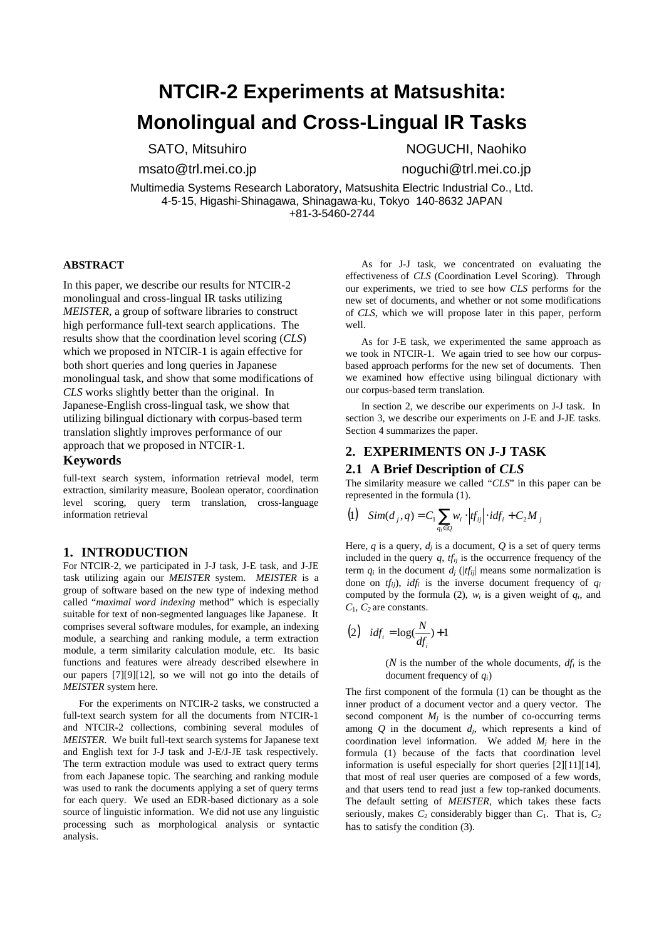# **NTCIR-2 Experiments at Matsushita: Monolingual and Cross-Lingual IR Tasks**

SATO, Mitsuhiro

msato@trl.mei.co.jp

NOGUCHI, Naohiko noguchi@trl.mei.co.jp

Multimedia Systems Research Laboratory, Matsushita Electric Industrial Co., Ltd. 4-5-15, Higashi-Shinagawa, Shinagawa-ku, Tokyo 140-8632 JAPAN +81-3-5460-2744

# **ABSTRACT**

In this paper, we describe our results for NTCIR-2 monolingual and cross-lingual IR tasks utilizing *MEISTER*, a group of software libraries to construct high performance full-text search applications. The results show that the coordination level scoring (*CLS*) which we proposed in NTCIR-1 is again effective for both short queries and long queries in Japanese monolingual task, and show that some modifications of *CLS* works slightly better than the original. In Japanese-English cross-lingual task, we show that utilizing bilingual dictionary with corpus-based term translation slightly improves performance of our approach that we proposed in NTCIR-1.

## **Keywords**

full-text search system, information retrieval model, term extraction, similarity measure, Boolean operator, coordination level scoring, query term translation, cross-language information retrieval

## **1. INTRODUCTION**

For NTCIR-2, we participated in J-J task, J-E task, and J-JE task utilizing again our *MEISTER* system. *MEISTER* is a group of software based on the new type of indexing method called "*maximal word indexing* method" which is especially suitable for text of non-segmented languages like Japanese. It comprises several software modules, for example, an indexing module, a searching and ranking module, a term extraction module, a term similarity calculation module, etc. Its basic functions and features were already described elsewhere in our papers [7][9][12], so we will not go into the details of *MEISTER* system here.

For the experiments on NTCIR-2 tasks, we constructed a full-text search system for all the documents from NTCIR-1 and NTCIR-2 collections, combining several modules of *MEISTER*. We built full-text search systems for Japanese text and English text for J-J task and J-E/J-JE task respectively. The term extraction module was used to extract query terms from each Japanese topic. The searching and ranking module was used to rank the documents applying a set of query terms for each query. We used an EDR-based dictionary as a sole source of linguistic information. We did not use any linguistic processing such as morphological analysis or syntactic analysis.

As for J-J task, we concentrated on evaluating the effectiveness of *CLS* (Coordination Level Scoring). Through our experiments, we tried to see how *CLS* performs for the new set of documents, and whether or not some modifications of *CLS*, which we will propose later in this paper, perform well.

As for J-E task, we experimented the same approach as we took in NTCIR-1. We again tried to see how our corpusbased approach performs for the new set of documents. Then we examined how effective using bilingual dictionary with our corpus-based term translation.

In section 2, we describe our experiments on J-J task. In section 3, we describe our experiments on J-E and J-JE tasks. Section 4 summarizes the paper.

# **2. EXPERIMENTS ON J-J TASK**

## **2.1 A Brief Description of** *CLS*

The similarity measure we called "*CLS*" in this paper can be represented in the formula (1).

$$
(1) \quad Sim(d_j, q) = C_1 \sum_{q_i \in Q} w_i \cdot |tf_{ij}| \cdot idf_i + C_2 M_j
$$

Here,  $q$  is a query,  $d_i$  is a document,  $Q$  is a set of query terms included in the query  $q$ ,  $tf_{ij}$  is the occurrence frequency of the term  $q_i$  in the document  $d_i$  ( $|tf_{ij}|$  means some normalization is done on  $tf_{ii}$ ),  $idf_i$  is the inverse document frequency of  $q_i$ computed by the formula (2),  $w_i$  is a given weight of  $q_i$ , and *C*1*, C<sup>2</sup>* are constants.

$$
(2) \quad idf_i = \log(\frac{N}{df_i}) + 1
$$

(*N* is the number of the whole documents, *dfi* is the document frequency of *qi*)

The first component of the formula (1) can be thought as the inner product of a document vector and a query vector. The second component  $M_i$  is the number of co-occurring terms among  $Q$  in the document  $d_i$ , which represents a kind of coordination level information. We added *Mj* here in the formula (1) because of the facts that coordination level information is useful especially for short queries [2][11][14], that most of real user queries are composed of a few words, and that users tend to read just a few top-ranked documents. The default setting of *MEISTER*, which takes these facts seriously, makes  $C_2$  considerably bigger than  $C_1$ . That is,  $C_2$ has to satisfy the condition (3).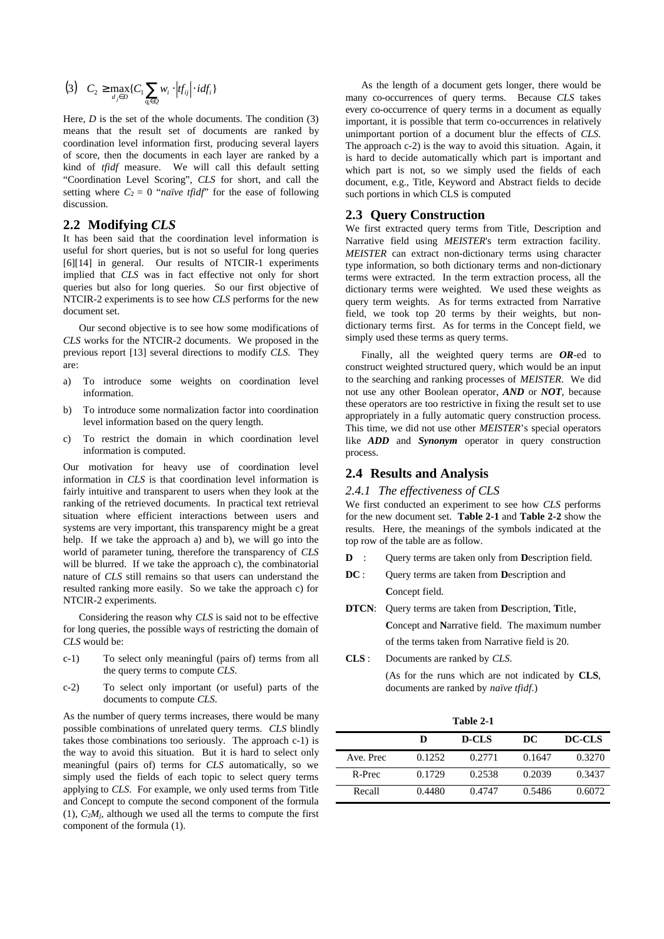$$
\text{(3)} \quad C_2 \geq \max_{d_j \in D} \{ C_1 \sum_{q_i \in Q} w_i \cdot \left| t f_{ij} \right| \cdot idf_i \}
$$

Here, *D* is the set of the whole documents. The condition (3) means that the result set of documents are ranked by coordination level information first, producing several layers of score, then the documents in each layer are ranked by a kind of *tfidf* measure. We will call this default setting "Coordination Level Scoring", *CLS* for short, and call the setting where  $C_2 = 0$  "*naïve tfidf*" for the ease of following discussion.

## **2.2 Modifying** *CLS*

It has been said that the coordination level information is useful for short queries, but is not so useful for long queries [6][14] in general. Our results of NTCIR-1 experiments implied that *CLS* was in fact effective not only for short queries but also for long queries. So our first objective of NTCIR-2 experiments is to see how *CLS* performs for the new document set.

Our second objective is to see how some modifications of *CLS* works for the NTCIR-2 documents. We proposed in the previous report [13] several directions to modify *CLS*. They are:

- a) To introduce some weights on coordination level information.
- b) To introduce some normalization factor into coordination level information based on the query length.
- c) To restrict the domain in which coordination level information is computed.

Our motivation for heavy use of coordination level information in *CLS* is that coordination level information is fairly intuitive and transparent to users when they look at the ranking of the retrieved documents. In practical text retrieval situation where efficient interactions between users and systems are very important, this transparency might be a great help. If we take the approach a) and b), we will go into the world of parameter tuning, therefore the transparency of *CLS* will be blurred. If we take the approach c), the combinatorial nature of *CLS* still remains so that users can understand the resulted ranking more easily. So we take the approach c) for NTCIR-2 experiments.

Considering the reason why *CLS* is said not to be effective for long queries, the possible ways of restricting the domain of *CLS* would be:

- c-1) To select only meaningful (pairs of) terms from all the query terms to compute *CLS*.
- c-2) To select only important (or useful) parts of the documents to compute *CLS*.

As the number of query terms increases, there would be many possible combinations of unrelated query terms. *CLS* blindly takes those combinations too seriously. The approach c-1) is the way to avoid this situation. But it is hard to select only meaningful (pairs of) terms for *CLS* automatically, so we simply used the fields of each topic to select query terms applying to *CLS*. For example, we only used terms from Title and Concept to compute the second component of the formula (1),  $C_2M_i$ , although we used all the terms to compute the first component of the formula (1).

As the length of a document gets longer, there would be many co-occurrences of query terms. Because *CLS* takes every co-occurrence of query terms in a document as equally important, it is possible that term co-occurrences in relatively unimportant portion of a document blur the effects of *CLS*. The approach c-2) is the way to avoid this situation. Again, it is hard to decide automatically which part is important and which part is not, so we simply used the fields of each document, e.g., Title, Keyword and Abstract fields to decide such portions in which CLS is computed

## **2.3 Query Construction**

We first extracted query terms from Title, Description and Narrative field using *MEISTER*'s term extraction facility. *MEISTER* can extract non-dictionary terms using character type information, so both dictionary terms and non-dictionary terms were extracted. In the term extraction process, all the dictionary terms were weighted. We used these weights as query term weights. As for terms extracted from Narrative field, we took top 20 terms by their weights, but nondictionary terms first. As for terms in the Concept field, we simply used these terms as query terms.

Finally, all the weighted query terms are *OR*-ed to construct weighted structured query, which would be an input to the searching and ranking processes of *MEISTER*. We did not use any other Boolean operator, *AND* or *NOT*, because these operators are too restrictive in fixing the result set to use appropriately in a fully automatic query construction process. This time, we did not use other *MEISTER*'s special operators like *ADD* and *Synonym* operator in query construction process.

# **2.4 Results and Analysis**

#### *2.4.1 The effectiveness of CLS*

We first conducted an experiment to see how *CLS* performs for the new document set. **Table 2-1** and **Table 2-2** show the results. Here, the meanings of the symbols indicated at the top row of the table are as follow.

- **D** : Query terms are taken only from **D**escription field.
- **DC** : Query terms are taken from **Description** and **C**oncept field.
- **DTCN**: Query terms are taken from **D**escription, **T**itle, **C**oncept and **N**arrative field. The maximum number of the terms taken from Narrative field is 20.
- **CLS** : Documents are ranked by *CLS*. (As for the runs which are not indicated by **CLS**, documents are ranked by *naïve tfidf*.)

| Table 2-1  |        |        |        |               |
|------------|--------|--------|--------|---------------|
|            | D      | D-CLS  | DC     | <b>DC-CLS</b> |
| Ave. Prec. | 0.1252 | 0.2771 | 0.1647 | 0.3270        |
| R-Prec     | 0.1729 | 0.2538 | 0.2039 | 0.3437        |
| Recall     | 0.4480 | 0.4747 | 0.5486 | 0.6072        |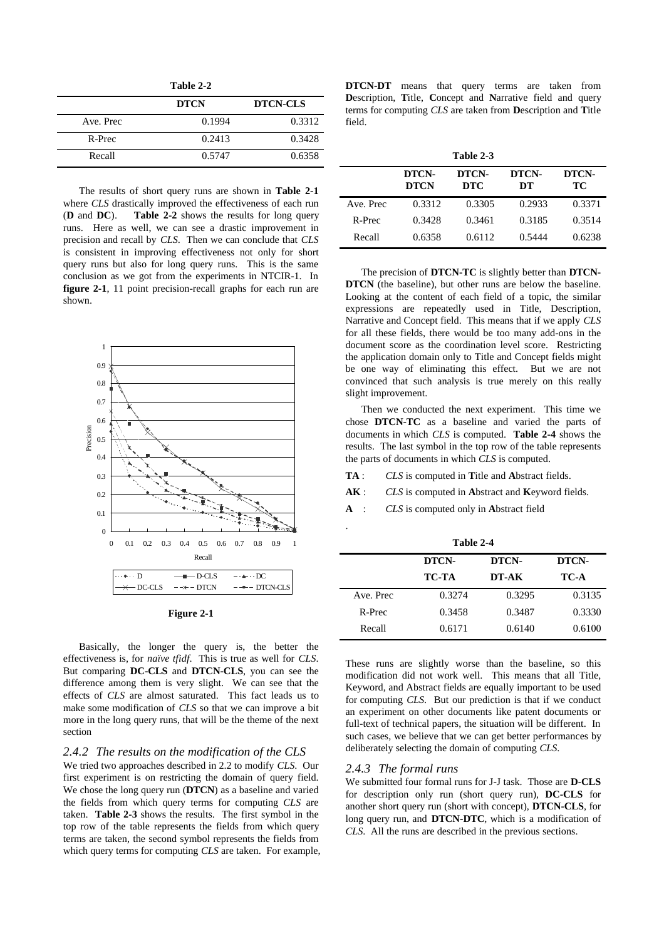**Table 2-2**

|           | <b>DTCN</b> | <b>DTCN-CLS</b> |
|-----------|-------------|-----------------|
| Ave. Prec | 0.1994      | 0.3312          |
| R-Prec    | 0.2413      | 0.3428          |
| Recall    | 0.5747      | 0.6358          |

The results of short query runs are shown in **Table 2-1** where *CLS* drastically improved the effectiveness of each run (**D** and **DC**). **Table 2-2** shows the results for long query runs. Here as well, we can see a drastic improvement in precision and recall by *CLS*. Then we can conclude that *CLS* is consistent in improving effectiveness not only for short query runs but also for long query runs. This is the same conclusion as we got from the experiments in NTCIR-1. In **figure 2-1**, 11 point precision-recall graphs for each run are shown.



**Figure 2-1**

Basically, the longer the query is, the better the effectiveness is, for *naïve tfidf*. This is true as well for *CLS*. But comparing **DC-CLS** and **DTCN-CLS**, you can see the difference among them is very slight. We can see that the effects of *CLS* are almost saturated. This fact leads us to make some modification of *CLS* so that we can improve a bit more in the long query runs, that will be the theme of the next section

#### *2.4.2 The results on the modification of the CLS*

We tried two approaches described in 2.2 to modify *CLS*. Our first experiment is on restricting the domain of query field. We chose the long query run (**DTCN**) as a baseline and varied the fields from which query terms for computing *CLS* are taken. **Table 2-3** shows the results. The first symbol in the top row of the table represents the fields from which query terms are taken, the second symbol represents the fields from which query terms for computing *CLS* are taken. For example,

**DTCN-DT** means that query terms are taken from **D**escription, **T**itle, **C**oncept and **N**arrative field and query terms for computing *CLS* are taken from **D**escription and **T**itle field.

| Table 2-3 |                      |                     |             |             |
|-----------|----------------------|---------------------|-------------|-------------|
|           | DTCN-<br><b>DTCN</b> | DTCN-<br><b>DTC</b> | DTCN-<br>DТ | DTCN-<br>TС |
| Ave. Prec | 0.3312               | 0.3305              | 0.2933      | 0.3371      |
| R-Prec    | 0.3428               | 0.3461              | 0.3185      | 0.3514      |
| Recall    | 0.6358               | 0.6112              | 0.5444      | 0.6238      |

The precision of **DTCN-TC** is slightly better than **DTCN-DTCN** (the baseline), but other runs are below the baseline. Looking at the content of each field of a topic, the similar expressions are repeatedly used in Title, Description, Narrative and Concept field. This means that if we apply *CLS* for all these fields, there would be too many add-ons in the document score as the coordination level score. Restricting the application domain only to Title and Concept fields might be one way of eliminating this effect. But we are not convinced that such analysis is true merely on this really slight improvement.

Then we conducted the next experiment. This time we chose **DTCN-TC** as a baseline and varied the parts of documents in which *CLS* is computed. **Table 2-4** shows the results. The last symbol in the top row of the table represents the parts of documents in which *CLS* is computed.

- **TA** : *CLS* is computed in **T**itle and **A**bstract fields.
- **AK** : *CLS* is computed in **A**bstract and **K**eyword fields.
- **A** : *CLS* is computed only in **A**bstract field

.

| Table 2-4 |        |        |        |
|-----------|--------|--------|--------|
|           | DTCN-  | DTCN-  | DTCN-  |
|           | TC-TA  | DT-AK  | TC-A   |
| Ave. Prec | 0.3274 | 0.3295 | 0.3135 |
| R-Prec    | 0.3458 | 0.3487 | 0.3330 |
| Recall    | 0.6171 | 0.6140 | 0.6100 |

These runs are slightly worse than the baseline, so this modification did not work well. This means that all Title, Keyword, and Abstract fields are equally important to be used for computing *CLS*. But our prediction is that if we conduct an experiment on other documents like patent documents or full-text of technical papers, the situation will be different. In such cases, we believe that we can get better performances by deliberately selecting the domain of computing *CLS*.

## *2.4.3 The formal runs*

We submitted four formal runs for J-J task. Those are **D-CLS** for description only run (short query run), **DC-CLS** for another short query run (short with concept), **DTCN-CLS**, for long query run, and **DTCN-DTC**, which is a modification of *CLS*. All the runs are described in the previous sections.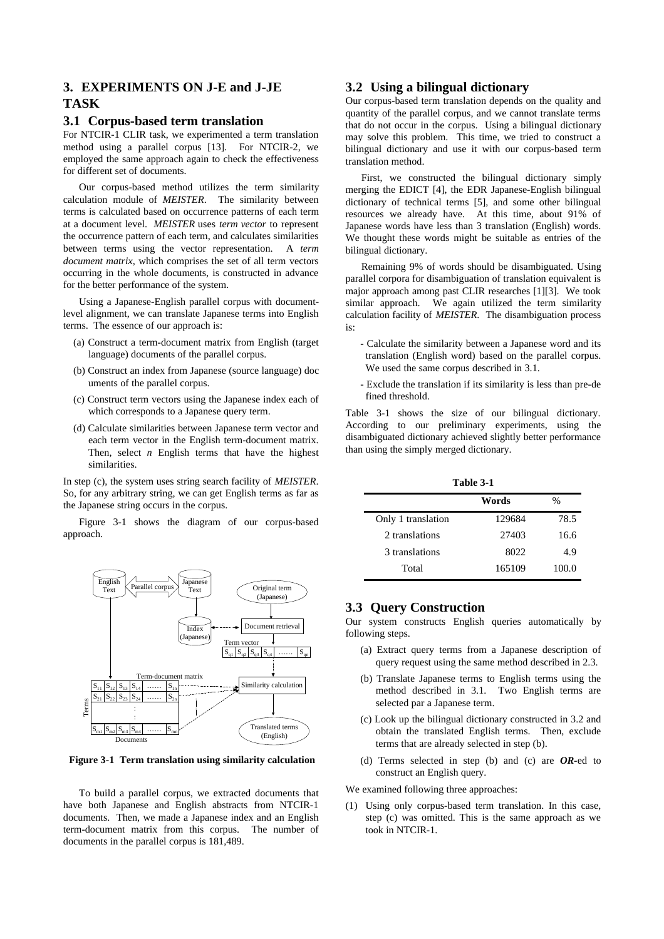# **3. EXPERIMENTS ON J-E and J-JE TASK**

# **3.1 Corpus-based term translation**

For NTCIR-1 CLIR task, we experimented a term translation method using a parallel corpus [13]. For NTCIR-2, we employed the same approach again to check the effectiveness for different set of documents.

Our corpus-based method utilizes the term similarity calculation module of *MEISTER*. The similarity between terms is calculated based on occurrence patterns of each term at a document level. *MEISTER* uses *term vector* to represent the occurrence pattern of each term, and calculates similarities between terms using the vector representation. A *term document matrix,* which comprises the set of all term vectors occurring in the whole documents, is constructed in advance for the better performance of the system.

Using a Japanese-English parallel corpus with documentlevel alignment, we can translate Japanese terms into English terms. The essence of our approach is:

- (a) Construct a term-document matrix from English (target language) documents of the parallel corpus.
- (b) Construct an index from Japanese (source language) doc uments of the parallel corpus.
- (c) Construct term vectors using the Japanese index each of which corresponds to a Japanese query term.
- (d) Calculate similarities between Japanese term vector and each term vector in the English term-document matrix. Then, select *n* English terms that have the highest similarities.

In step (c), the system uses string search facility of *MEISTER*. So, for any arbitrary string, we can get English terms as far as the Japanese string occurs in the corpus.

Figure 3-1 shows the diagram of our corpus-based approach.



**Figure 3-1 Term translation using similarity calculation**

To build a parallel corpus, we extracted documents that have both Japanese and English abstracts from NTCIR-1 documents. Then, we made a Japanese index and an English term-document matrix from this corpus. The number of documents in the parallel corpus is 181,489.

## **3.2 Using a bilingual dictionary**

Our corpus-based term translation depends on the quality and quantity of the parallel corpus, and we cannot translate terms that do not occur in the corpus. Using a bilingual dictionary may solve this problem. This time, we tried to construct a bilingual dictionary and use it with our corpus-based term translation method.

First, we constructed the bilingual dictionary simply merging the EDICT [4], the EDR Japanese-English bilingual dictionary of technical terms [5], and some other bilingual resources we already have. At this time, about 91% of Japanese words have less than 3 translation (English) words. We thought these words might be suitable as entries of the bilingual dictionary.

Remaining 9% of words should be disambiguated. Using parallel corpora for disambiguation of translation equivalent is major approach among past CLIR researches [1][3]. We took similar approach. We again utilized the term similarity calculation facility of *MEISTER*. The disambiguation process is:

- Calculate the similarity between a Japanese word and its translation (English word) based on the parallel corpus. We used the same corpus described in 3.1.
- Exclude the translation if its similarity is less than pre-de fined threshold.

Table 3-1 shows the size of our bilingual dictionary. According to our preliminary experiments, using the disambiguated dictionary achieved slightly better performance than using the simply merged dictionary.

**Table 3-1**

|                    | Words  | %     |
|--------------------|--------|-------|
| Only 1 translation | 129684 | 78.5  |
| 2. translations    | 27403  | 16.6  |
| 3 translations     | 8022   | 4.9   |
| Total              | 165109 | 100.0 |

# **3.3 Query Construction**

Our system constructs English queries automatically by following steps.

- (a) Extract query terms from a Japanese description of query request using the same method described in 2.3.
- (b) Translate Japanese terms to English terms using the method described in 3.1. Two English terms are selected par a Japanese term.
- (c) Look up the bilingual dictionary constructed in 3.2 and obtain the translated English terms. Then, exclude terms that are already selected in step (b).
- (d) Terms selected in step (b) and (c) are *OR***-**ed to construct an English query.

We examined following three approaches:

(1) Using only corpus-based term translation. In this case, step (c) was omitted. This is the same approach as we took in NTCIR-1.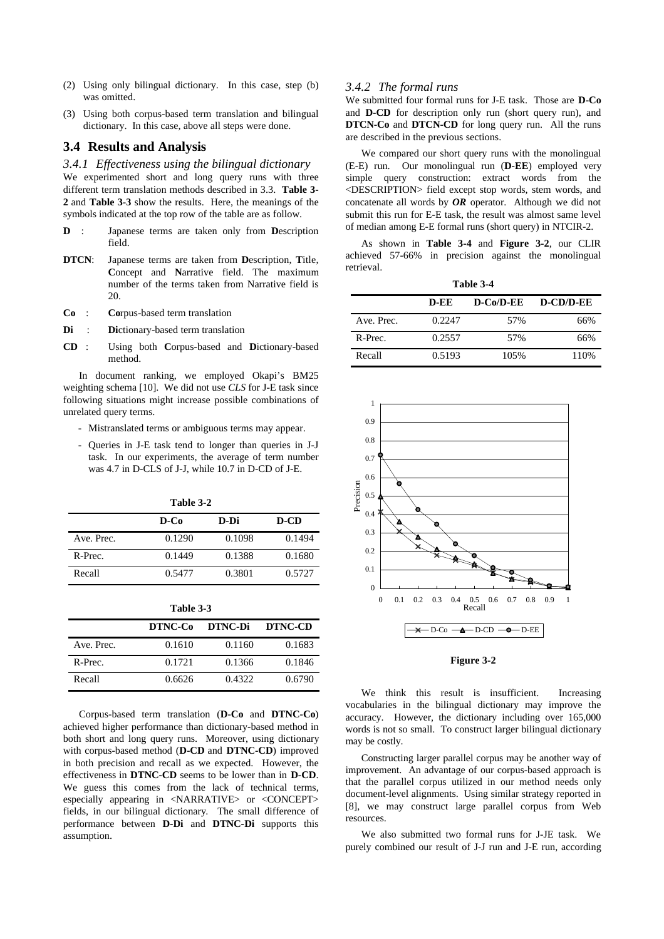- (2) Using only bilingual dictionary. In this case, step (b) was omitted.
- (3) Using both corpus-based term translation and bilingual dictionary. In this case, above all steps were done.

## **3.4 Results and Analysis**

*3.4.1 Effectiveness using the bilingual dictionary* We experimented short and long query runs with three different term translation methods described in 3.3. **Table 3- 2** and **Table 3-3** show the results. Here, the meanings of the symbols indicated at the top row of the table are as follow.

- **D** : Japanese terms are taken only from **D**escription field.
- **DTCN**: Japanese terms are taken from **D**escription, **T**itle, **C**oncept and **N**arrative field. The maximum number of the terms taken from Narrative field is 20.
- **Co** : **Co**rpus-based term translation
- **Di** : **Di**ctionary-based term translation
- **CD** : Using both **C**orpus-based and **D**ictionary-based method.

In document ranking, we employed Okapi's BM25 weighting schema [10]. We did not use *CLS* for J-E task since following situations might increase possible combinations of unrelated query terms.

- Mistranslated terms or ambiguous terms may appear.
- Queries in J-E task tend to longer than queries in J-J task. In our experiments, the average of term number was 4.7 in D-CLS of J-J, while 10.7 in D-CD of J-E.

| Table 3-2  |        |        |        |
|------------|--------|--------|--------|
|            | $D-Co$ | D-Di   | D-CD   |
| Ave. Prec. | 0.1290 | 0.1098 | 0.1494 |
| R-Prec.    | 0.1449 | 0.1388 | 0.1680 |
| Recall     | 0.5477 | 0.3801 | 0.5727 |

| Table 3-3  |         |                |                |
|------------|---------|----------------|----------------|
|            | DTNC-Co | <b>DTNC-Di</b> | <b>DTNC-CD</b> |
| Ave. Prec. | 0.1610  | 0.1160         | 0.1683         |
| R-Prec.    | 0.1721  | 0.1366         | 0.1846         |
| Recall     | 0.6626  | 0.4322         | 0.6790         |

Corpus-based term translation (**D-Co** and **DTNC-Co**) achieved higher performance than dictionary-based method in both short and long query runs. Moreover, using dictionary with corpus-based method (**D-CD** and **DTNC-CD**) improved in both precision and recall as we expected. However, the effectiveness in **DTNC-CD** seems to be lower than in **D-CD**. We guess this comes from the lack of technical terms, especially appearing in <NARRATIVE> or <CONCEPT> fields, in our bilingual dictionary. The small difference of performance between **D-Di** and **DTNC-Di** supports this assumption.

#### *3.4.2 The formal runs*

We submitted four formal runs for J-E task. Those are **D-Co** and **D-CD** for description only run (short query run), and **DTCN-Co** and **DTCN-CD** for long query run. All the runs are described in the previous sections.

We compared our short query runs with the monolingual (E-E) run. Our monolingual run (**D-EE**) employed very simple query construction: extract words from the <DESCRIPTION> field except stop words, stem words, and concatenate all words by *OR* operator. Although we did not submit this run for E-E task, the result was almost same level of median among E-E formal runs (short query) in NTCIR-2.

As shown in **Table 3-4** and **Figure 3-2**, our CLIR achieved 57-66% in precision against the monolingual retrieval.

| Table 3-4  |        |             |           |  |
|------------|--------|-------------|-----------|--|
|            | D-EE   | $D-Co/D-EE$ | D-CD/D-EE |  |
| Ave. Prec. | 0.2247 | 57%         | 66%       |  |
| R-Prec.    | 0.2557 | 57%         | 66%       |  |
| Recall     | 0.5193 | 105%        | 110%      |  |





We think this result is insufficient. Increasing vocabularies in the bilingual dictionary may improve the accuracy. However, the dictionary including over 165,000 words is not so small. To construct larger bilingual dictionary may be costly.

Constructing larger parallel corpus may be another way of improvement. An advantage of our corpus-based approach is that the parallel corpus utilized in our method needs only document-level alignments. Using similar strategy reported in [8], we may construct large parallel corpus from Web resources.

We also submitted two formal runs for J-JE task. We purely combined our result of J-J run and J-E run, according